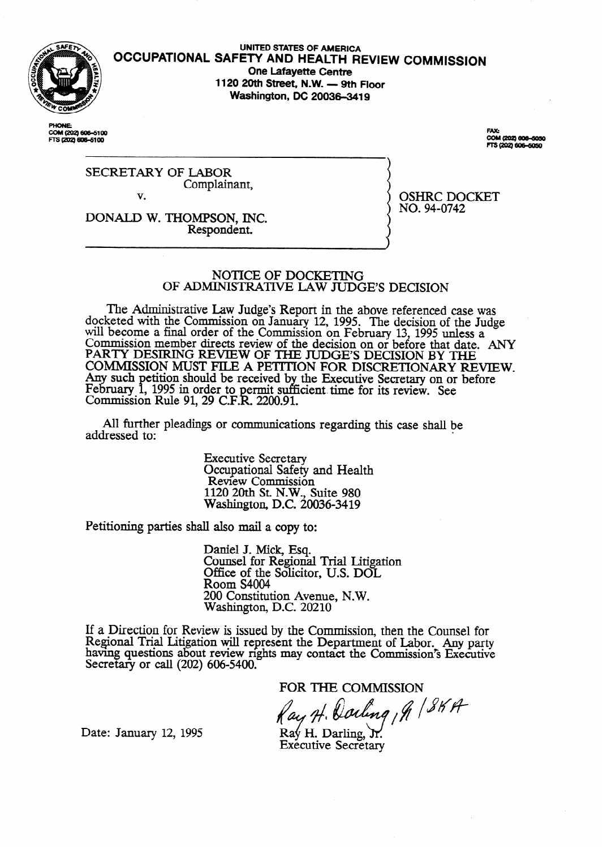

#### **UNITED STATES OF AMERICA OCCUPATIONAL SAFETY AND HEALTH REVIEW** COMMISSION **One Lafayette Centre**  1120 20th Street, N.W. - 9th Floor **Washington, DC 20036-3419**

**PHONE** COM (202) 606-5100<br>FTS (202) 606-5100

**FAX:** COM (202) 606-6050<br>FTS (202) 606-6050

OSHRC DOCKET

NO. 94-0742

SECRETARY OF LABOR Complainant, v.

DONALD W. THOMPSON, INC. Respondent.

## NOTICE OF DOCKETING OF ADMINISTRATIVE LAW JUDGE'S DECISION

The Administrative Law Judge's Report in the above referenced case was docketed with the Commission on January 12, 1995. The decision of the Judge will become a final order of the Commission on February 13, 1995 unless a Commission member directs review of the decision on or before that date. ANY PARTY DESIRING REVIEW OF THE JUDGE'S DECISION BY THE COMMISSION MUST FILE A PETITION FOR DISCRETIONARY REVIEW. Any such l, etition should be received b February 1, 1995 in order to permit suff the Executive Secretary on or before Commission Rule 91,29 C.F.k 2200.91. cient. time for its review. See

All further pleadings or communications regarding this case shall be lessed to: addressed to:

> Executive Secretary Occupational Safety and Health Review Commission 1120 20th St. N.W., Suite 980 Washington, D.C. 20036-3419

Petitioning parties shall also mail a copy to:

Daniel J. Mick, Esq. Counsel for Regional Trial Litigation Office of the Solicitor, U.S. DOL Room S4004 200 Constitution Avenue, N.W. Washington, D.C. 20210

If a Direction for Review is issued by the Commission, then the Counsel for Regional Trial Litigation will represent the Department of Labor. Any party having questions about review nghts may contact the Commission's Executive Secretary or call (202) 606-5400.

FOR THE COMMISSION<br>(ay H. Dorling, N / SK H

Date: January 12, 1995

 $\text{Ra}\psi$  H. Darling,  $\mathcal{M}$ . **Executive Secretary**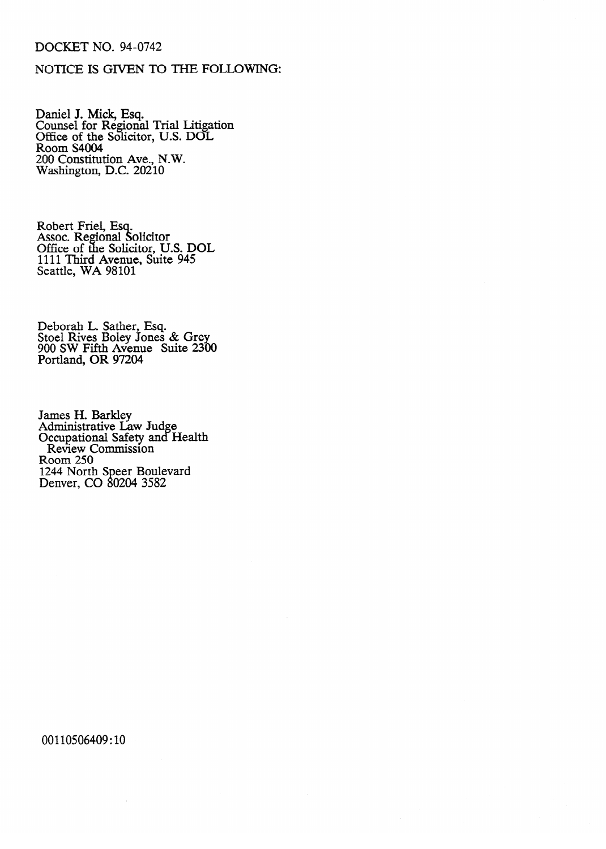## DOCKET NO. 94-0742

### NOTICE IS GIVEN TO THE FOLLOWING:

Daniel J. Mick, Esq. Counsel for Regional Trial Litigation Office of the Solicitor, U.S. DOL Room S4004 200 Constitution Ave., N.W. Washington, D.C. 20210

RODEIT FIIEL, ESC.<br>Assoc. Regional Sc Assoc. Regional<br>Office of the So ur<br>d ounchui<br>Ligitor I Office of the Solicitor, U.S. DOL 1111 Third Avenue, Suite 945<br>Seattle WA 08101 Seattle, WA 98101

Deborah L. Sather, Esq.<br>Stoel Rives Bolev Jones Stoch Rives Boley Jones & Grey 900 SW Fifth Avenue Suite 2300  $\sum_{i=1}^{n}$ 

Administrative La Occupational Safety and H Review Commission  $\frac{250}{ }$ 1244 North Denver, CO 80204 3582  $\mathcal{L}$  and  $\mathcal{L}$  is 0204 35824 35824 35824 35824 35824 35824 35824 35824 35824 35824 35824 35824 35824 35824 35824 35824 35824 35824 35824 35824 35824 35824 35824 35824 35824 35824 35824 35824 35824 35824 35824 35824

00110506409:10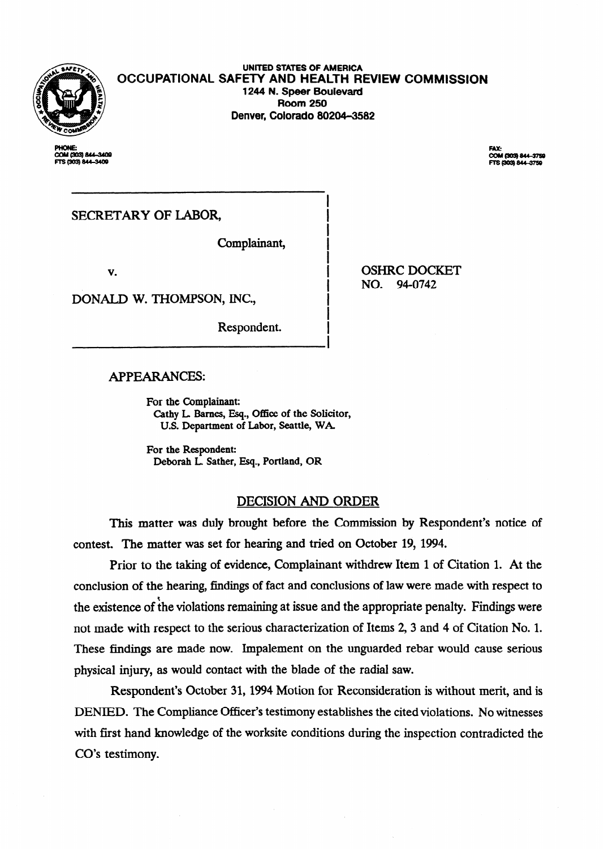

**UNITED STATES OF AMERICA OCCUPATIONAL SAFETY AND HEALTH REVIEW COMMISSION 1244 N. Speer Bouievard Room 250 Denver, Colorado 80204-3582** 

**COM 1903 RAL-3400** S (303) 844-3409

**FAX:** 

SECRETARY OF LABOR,

Complainant,

v.

DONALD W. THOMPSON, INC.,

Respondent.

OSHRC DOCKET NO. 94-0742

## APPEARANCES:

For the Complainant: Cathy L Barnes, Esq., Office of the Solicitor, U.S. Department of Labor, Seattle, WA

For the Respondent: Deborah L. Sather, Esq., Portland, OR

## DECISION AND ORDER

I

This matter was duly brought before the Commission by Respondent's notice of contest. The matter was set for hearing and tried on October 19, 1994.

Prior to the taking of evidence, Complainant withdrew Item 1 of Citation 1. At the conclusion of the hearing, findings of fact and conclusions of law were made with respect to the existence of the violations remaining at issue and the appropriate penalty. Findings were not made with respect to the serious characterization of Items 2, 3 and 4 of Citation No. 1. These findings are made now. Impalement on the unguarded rebar would cause serious physical injury, as would contact with the blade of the radial saw.

Respondent's October 31, 1994 Motion for Reconsideration is without merit, and is DENIED. The Compliance Officer's testimony establishes the cited violations. No witnesses with first hand knowledge of the worksite conditions during the inspection contradicted the CO's testimony.